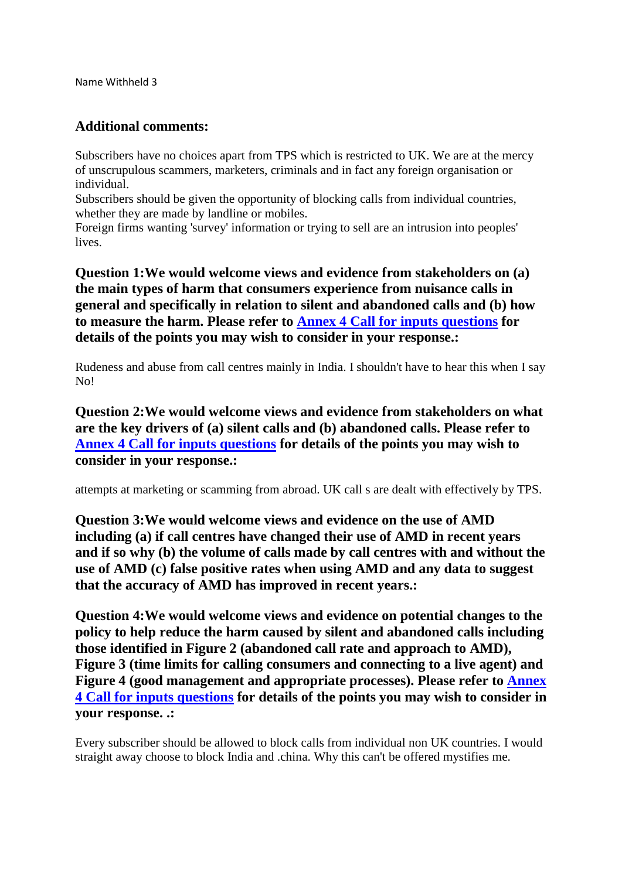Name Withheld 3

## **Additional comments:**

Subscribers have no choices apart from TPS which is restricted to UK. We are at the mercy of unscrupulous scammers, marketers, criminals and in fact any foreign organisation or individual.

Subscribers should be given the opportunity of blocking calls from individual countries, whether they are made by landline or mobiles.

Foreign firms wanting 'survey' information or trying to sell are an intrusion into peoples' lives.

**Question 1:We would welcome views and evidence from stakeholders on (a) the main types of harm that consumers experience from nuisance calls in general and specifically in relation to silent and abandoned calls and (b) how to measure the harm. Please refer to [Annex 4 Call for inputs questions](http://projects/binaries/consultations/review-persistent-misuse-powers/questions.pdf) for details of the points you may wish to consider in your response.:**

Rudeness and abuse from call centres mainly in India. I shouldn't have to hear this when I say No!

**Question 2:We would welcome views and evidence from stakeholders on what are the key drivers of (a) silent calls and (b) abandoned calls. Please refer to [Annex 4 Call for inputs questions](http://projects/binaries/consultations/review-persistent-misuse-powers/questions.pdf) for details of the points you may wish to consider in your response.:**

attempts at marketing or scamming from abroad. UK call s are dealt with effectively by TPS.

**Question 3:We would welcome views and evidence on the use of AMD including (a) if call centres have changed their use of AMD in recent years and if so why (b) the volume of calls made by call centres with and without the use of AMD (c) false positive rates when using AMD and any data to suggest that the accuracy of AMD has improved in recent years.:**

**Question 4:We would welcome views and evidence on potential changes to the policy to help reduce the harm caused by silent and abandoned calls including those identified in Figure 2 (abandoned call rate and approach to AMD), Figure 3 (time limits for calling consumers and connecting to a live agent) and Figure 4 (good management and appropriate processes). Please refer to [Annex](http://projects/binaries/consultations/review-persistent-misuse-powers/questions.pdf)  [4 Call for inputs questions](http://projects/binaries/consultations/review-persistent-misuse-powers/questions.pdf) for details of the points you may wish to consider in your response. .:**

Every subscriber should be allowed to block calls from individual non UK countries. I would straight away choose to block India and .china. Why this can't be offered mystifies me.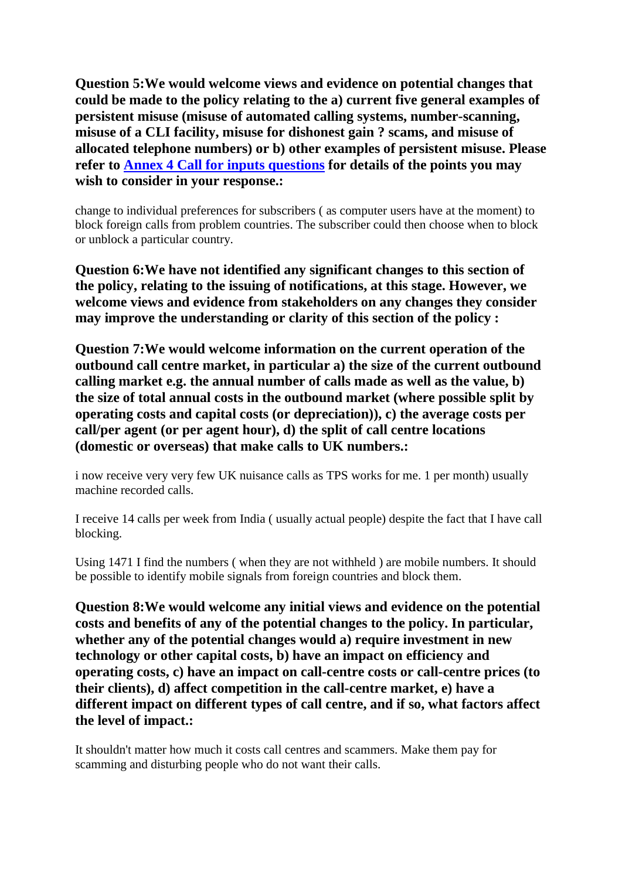**Question 5:We would welcome views and evidence on potential changes that could be made to the policy relating to the a) current five general examples of persistent misuse (misuse of automated calling systems, number-scanning, misuse of a CLI facility, misuse for dishonest gain ? scams, and misuse of allocated telephone numbers) or b) other examples of persistent misuse. Please refer to [Annex 4 Call for inputs questions](http://projects/binaries/consultations/review-persistent-misuse-powers/questions.pdf) for details of the points you may wish to consider in your response.:**

change to individual preferences for subscribers ( as computer users have at the moment) to block foreign calls from problem countries. The subscriber could then choose when to block or unblock a particular country.

**Question 6:We have not identified any significant changes to this section of the policy, relating to the issuing of notifications, at this stage. However, we welcome views and evidence from stakeholders on any changes they consider may improve the understanding or clarity of this section of the policy :**

**Question 7:We would welcome information on the current operation of the outbound call centre market, in particular a) the size of the current outbound calling market e.g. the annual number of calls made as well as the value, b) the size of total annual costs in the outbound market (where possible split by operating costs and capital costs (or depreciation)), c) the average costs per call/per agent (or per agent hour), d) the split of call centre locations (domestic or overseas) that make calls to UK numbers.:**

i now receive very very few UK nuisance calls as TPS works for me. 1 per month) usually machine recorded calls.

I receive 14 calls per week from India ( usually actual people) despite the fact that I have call blocking.

Using 1471 I find the numbers ( when they are not withheld ) are mobile numbers. It should be possible to identify mobile signals from foreign countries and block them.

**Question 8:We would welcome any initial views and evidence on the potential costs and benefits of any of the potential changes to the policy. In particular, whether any of the potential changes would a) require investment in new technology or other capital costs, b) have an impact on efficiency and operating costs, c) have an impact on call-centre costs or call-centre prices (to their clients), d) affect competition in the call-centre market, e) have a different impact on different types of call centre, and if so, what factors affect the level of impact.:**

It shouldn't matter how much it costs call centres and scammers. Make them pay for scamming and disturbing people who do not want their calls.